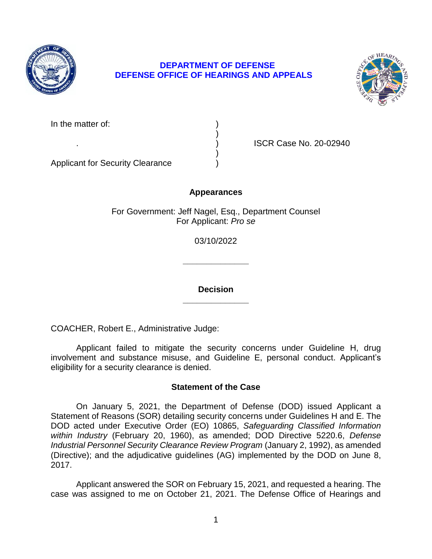

# **DEPARTMENT OF DEFENSE DEFENSE OFFICE OF HEARINGS AND APPEALS**



. ) ISCR Case No. 20-02940

Applicant for Security Clearance )

## **Appearances**

)

)

For Government: Jeff Nagel, Esq., Department Counsel For Applicant: *Pro se* 

03/10/2022

**\_\_\_\_\_\_\_\_\_\_\_\_\_\_** 

**\_\_\_\_\_\_\_\_\_\_\_\_\_\_ Decision** 

COACHER, Robert E., Administrative Judge:

 Applicant failed to mitigate the security concerns under Guideline H, drug involvement and substance misuse, and Guideline E, personal conduct. Applicant's eligibility for a security clearance is denied.

## **Statement of the Case**

 DOD acted under Executive Order (EO) 10865, *Safeguarding Classified Information within Industry* (February 20, 1960), as amended; DOD Directive 5220.6, *Defense*  Industrial Personnel Security Clearance Review Program (January 2, 1992), as amended (Directive); and the adjudicative guidelines (AG) implemented by the DOD on June 8, On January 5, 2021, the Department of Defense (DOD) issued Applicant a Statement of Reasons (SOR) detailing security concerns under Guidelines H and E. The 2017.

 case was assigned to me on October 21, 2021. The Defense Office of Hearings and Applicant answered the SOR on February 15, 2021, and requested a hearing. The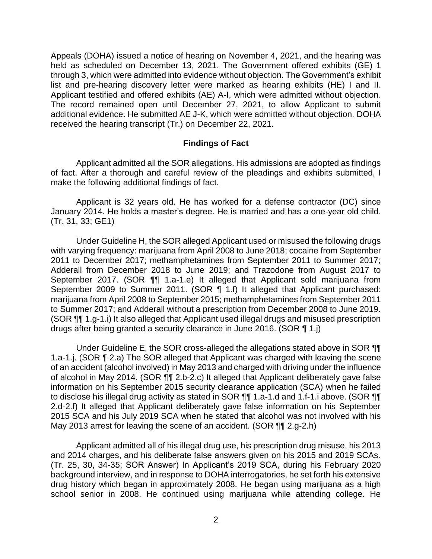Appeals (DOHA) issued a notice of hearing on November 4, 2021, and the hearing was through 3, which were admitted into evidence without objection. The Government's exhibit list and pre-hearing discovery letter were marked as hearing exhibits (HE) I and II. Applicant testified and offered exhibits (AE) A-I, which were admitted without objection. The record remained open until December 27, 2021, to allow Applicant to submit additional evidence. He submitted AE J-K, which were admitted without objection. DOHA held as scheduled on December 13, 2021. The Government offered exhibits (GE) 1 received the hearing transcript (Tr.) on December 22, 2021.

#### **Findings of Fact**

 Applicant admitted all the SOR allegations. His admissions are adopted as findings of fact. After a thorough and careful review of the pleadings and exhibits submitted, I make the following additional findings of fact.

 Applicant is 32 years old. He has worked for a defense contractor (DC) since January 2014. He holds a master's degree. He is married and has a one-year old child. (Tr. 31, 33; GE1)

 Under Guideline H, the SOR alleged Applicant used or misused the following drugs with varying frequency: marijuana from April 2008 to June 2018; cocaine from September 2011 to December 2017; methamphetamines from September 2011 to Summer 2017; Adderall from December 2018 to June 2019; and Trazodone from August 2017 to September 2017. (SOR ¶¶ 1.a-1.e) It alleged that Applicant sold marijuana from September 2009 to Summer 2011. (SOR ¶ 1.f) It alleged that Applicant purchased: marijuana from April 2008 to September 2015; methamphetamines from September 2011 to Summer 2017; and Adderall without a prescription from December 2008 to June 2019. (SOR ¶¶ 1.g-1.i) It also alleged that Applicant used illegal drugs and misused prescription drugs after being granted a security clearance in June 2016. (SOR ¶ 1.j)

Under Guideline E, the SOR cross-alleged the allegations stated above in SOR  $\P$  of an accident (alcohol involved) in May 2013 and charged with driving under the influence information on his September 2015 security clearance application (SCA) when he failed to disclose his illegal drug activity as stated in SOR  $\P\P$  1.a-1.d and 1.f-1.i above. (SOR  $\P\P$  2.d-2.f) It alleged that Applicant deliberately gave false information on his September 2015 SCA and his July 2019 SCA when he stated that alcohol was not involved with his May 2013 arrest for leaving the scene of an accident. (SOR ¶¶ 2.g-2.h) 1.a-1.j. (SOR ¶ 2.a) The SOR alleged that Applicant was charged with leaving the scene of alcohol in May 2014. (SOR ¶¶ 2.b-2.c) It alleged that Applicant deliberately gave false

 Applicant admitted all of his illegal drug use, his prescription drug misuse, his 2013 and 2014 charges, and his deliberate false answers given on his 2015 and 2019 SCAs. (Tr. 25, 30, 34-35; SOR Answer) In Applicant's 2019 SCA, during his February 2020 background interview, and in response to DOHA interrogatories, he set forth his extensive drug history which began in approximately 2008. He began using marijuana as a high school senior in 2008. He continued using marijuana while attending college. He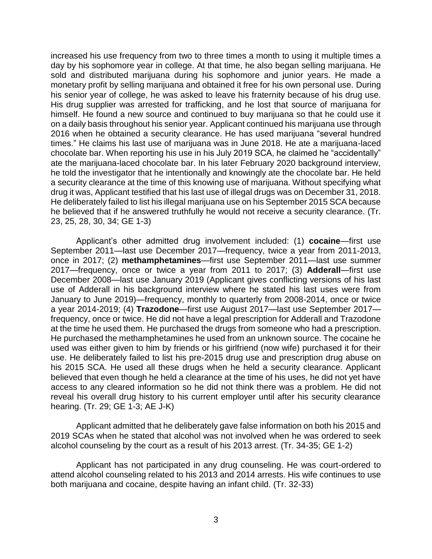increased his use frequency from two to three times a month to using it multiple times a day by his sophomore year in college. At that time, he also began selling marijuana. He sold and distributed marijuana during his sophomore and junior years. He made a monetary profit by selling marijuana and obtained it free for his own personal use. During his senior year of college, he was asked to leave his fraternity because of his drug use. His drug supplier was arrested for trafficking, and he lost that source of marijuana for himself. He found a new source and continued to buy marijuana so that he could use it on a daily basis throughout his senior year. Applicant continued his marijuana use through 2016 when he obtained a security clearance. He has used marijuana "several hundred times." He claims his last use of marijuana was in June 2018. He ate a marijuana-laced chocolate bar. When reporting his use in his July 2019 SCA, he claimed he "accidentally" ate the marijuana-laced chocolate bar. In his later February 2020 background interview, he told the investigator that he intentionally and knowingly ate the chocolate bar. He held a security clearance at the time of this knowing use of marijuana. Without specifying what drug it was, Applicant testified that his last use of illegal drugs was on December 31, 2018. He deliberately failed to list his illegal marijuana use on his September 2015 SCA because he believed that if he answered truthfully he would not receive a security clearance. (Tr. 23, 25, 28, 30, 34; GE 1-3)

 Applicant's other admitted drug involvement included: (1) **cocaine**—first use September 2011—last use December 2017—frequency, twice a year from 2011-2013, once in 2017; (2) **methamphetamines**—first use September 2011—last use summer 2017—frequency, once or twice a year from 2011 to 2017; (3) **Adderall**—first use December 2008—last use January 2019 (Applicant gives conflicting versions of his last use of Adderall in his background interview where he stated his last uses were from January to June 2019)—frequency, monthly to quarterly from 2008-2014, once or twice a year 2014-2019; (4) **Trazodone**—first use August 2017—last use September 2017— frequency, once or twice. He did not have a legal prescription for Adderall and Trazodone at the time he used them. He purchased the drugs from someone who had a prescription. He purchased the methamphetamines he used from an unknown source. The cocaine he used was either given to him by friends or his girlfriend (now wife) purchased it for their use. He deliberately failed to list his pre-2015 drug use and prescription drug abuse on his 2015 SCA. He used all these drugs when he held a security clearance. Applicant believed that even though he held a clearance at the time of his uses, he did not yet have access to any cleared information so he did not think there was a problem. He did not reveal his overall drug history to his current employer until after his security clearance hearing. (Tr. 29; GE 1-3; AE J-K)

 Applicant admitted that he deliberately gave false information on both his 2015 and 2019 SCAs when he stated that alcohol was not involved when he was ordered to seek alcohol counseling by the court as a result of his 2013 arrest. (Tr. 34-35; GE 1-2)

 Applicant has not participated in any drug counseling. He was court-ordered to attend alcohol counseling related to his 2013 and 2014 arrests. His wife continues to use both marijuana and cocaine, despite having an infant child. (Tr. 32-33)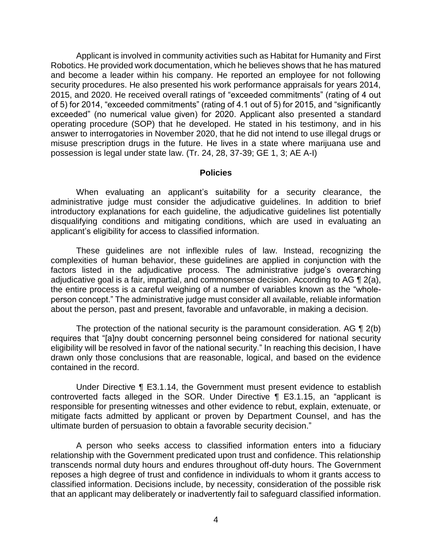Applicant is involved in community activities such as Habitat for Humanity and First and become a leader within his company. He reported an employee for not following 2015, and 2020. He received overall ratings of "exceeded commitments" (rating of 4 out of 5) for 2014, "exceeded commitments" (rating of 4.1 out of 5) for 2015, and "significantly exceeded" (no numerical value given) for 2020. Applicant also presented a standard operating procedure (SOP) that he developed. He stated in his testimony, and in his answer to interrogatories in November 2020, that he did not intend to use illegal drugs or misuse prescription drugs in the future. He lives in a state where marijuana use and Robotics. He provided work documentation, which he believes shows that he has matured security procedures. He also presented his work performance appraisals for years 2014, possession is legal under state law. (Tr. 24, 28, 37-39; GE 1, 3; AE A-I)

#### **Policies**

 When evaluating an applicant's suitability for a security clearance, the administrative judge must consider the adjudicative guidelines. In addition to brief introductory explanations for each guideline, the adjudicative guidelines list potentially disqualifying conditions and mitigating conditions, which are used in evaluating an applicant's eligibility for access to classified information.

These guidelines are not inflexible rules of law. Instead, recognizing the complexities of human behavior, these guidelines are applied in conjunction with the factors listed in the adjudicative process. The administrative judge's overarching adjudicative goal is a fair, impartial, and commonsense decision. According to AG ¶ 2(a), the entire process is a careful weighing of a number of variables known as the "wholeperson concept." The administrative judge must consider all available, reliable information about the person, past and present, favorable and unfavorable, in making a decision.

The protection of the national security is the paramount consideration. AG  $\P$  2(b) eligibility will be resolved in favor of the national security." In reaching this decision, I have drawn only those conclusions that are reasonable, logical, and based on the evidence requires that "[a]ny doubt concerning personnel being considered for national security contained in the record.

 Under Directive ¶ E3.1.14, the Government must present evidence to establish responsible for presenting witnesses and other evidence to rebut, explain, extenuate, or mitigate facts admitted by applicant or proven by Department Counsel, and has the controverted facts alleged in the SOR. Under Directive ¶ E3.1.15, an "applicant is ultimate burden of persuasion to obtain a favorable security decision."

 A person who seeks access to classified information enters into a fiduciary relationship with the Government predicated upon trust and confidence. This relationship transcends normal duty hours and endures throughout off-duty hours. The Government reposes a high degree of trust and confidence in individuals to whom it grants access to classified information. Decisions include, by necessity, consideration of the possible risk that an applicant may deliberately or inadvertently fail to safeguard classified information.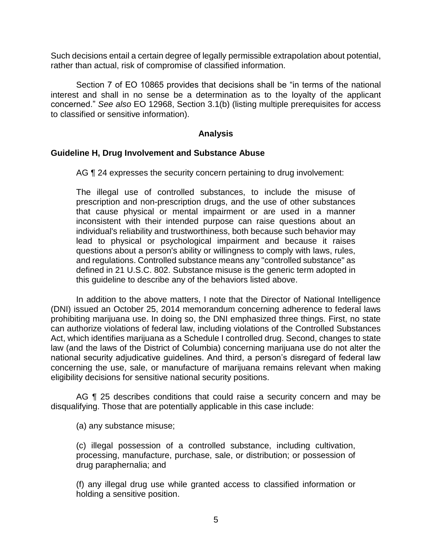Such decisions entail a certain degree of legally permissible extrapolation about potential, rather than actual, risk of compromise of classified information.

 Section 7 of EO 10865 provides that decisions shall be "in terms of the national interest and shall in no sense be a determination as to the loyalty of the applicant concerned." *See also* EO 12968, Section 3.1(b) (listing multiple prerequisites for access to classified or sensitive information).

## **Analysis**

#### **Guideline H, Drug Involvement and Substance Abuse**

AG ¶ 24 expresses the security concern pertaining to drug involvement:

The illegal use of controlled substances, to include the misuse of prescription and non-prescription drugs, and the use of other substances that cause physical or mental impairment or are used in a manner inconsistent with their intended purpose can raise questions about an individual's reliability and trustworthiness, both because such behavior may lead to physical or psychological impairment and because it raises questions about a person's ability or willingness to comply with laws, rules, and regulations. Controlled substance means any "controlled substance" as defined in 21 U.S.C. 802. Substance misuse is the generic term adopted in this guideline to describe any of the behaviors listed above.

In addition to the above matters, I note that the Director of National Intelligence (DNI) issued an October 25, 2014 memorandum concerning adherence to federal laws prohibiting marijuana use. In doing so, the DNI emphasized three things. First, no state can authorize violations of federal law, including violations of the Controlled Substances Act, which identifies marijuana as a Schedule I controlled drug. Second, changes to state law (and the laws of the District of Columbia) concerning marijuana use do not alter the national security adjudicative guidelines. And third, a person's disregard of federal law concerning the use, sale, or manufacture of marijuana remains relevant when making eligibility decisions for sensitive national security positions.

AG ¶ 25 describes conditions that could raise a security concern and may be disqualifying. Those that are potentially applicable in this case include:

(a) any substance misuse;

(c) illegal possession of a controlled substance, including cultivation, processing, manufacture, purchase, sale, or distribution; or possession of drug paraphernalia; and

(f) any illegal drug use while granted access to classified information or holding a sensitive position.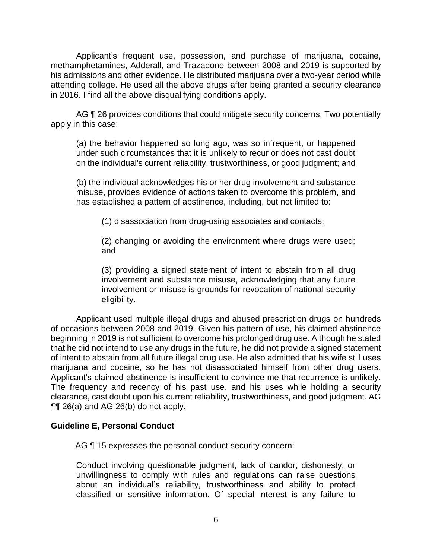Applicant's frequent use, possession, and purchase of marijuana, cocaine, methamphetamines, Adderall, and Trazadone between 2008 and 2019 is supported by his admissions and other evidence. He distributed marijuana over a two-year period while attending college. He used all the above drugs after being granted a security clearance in 2016. I find all the above disqualifying conditions apply.

AG ¶ 26 provides conditions that could mitigate security concerns. Two potentially apply in this case:

(a) the behavior happened so long ago, was so infrequent, or happened under such circumstances that it is unlikely to recur or does not cast doubt on the individual's current reliability, trustworthiness, or good judgment; and

(b) the individual acknowledges his or her drug involvement and substance misuse, provides evidence of actions taken to overcome this problem, and has established a pattern of abstinence, including, but not limited to:

(1) disassociation from drug-using associates and contacts;

(2) changing or avoiding the environment where drugs were used; and

(3) providing a signed statement of intent to abstain from all drug involvement and substance misuse, acknowledging that any future involvement or misuse is grounds for revocation of national security eligibility.

 Applicant used multiple illegal drugs and abused prescription drugs on hundreds of occasions between 2008 and 2019. Given his pattern of use, his claimed abstinence beginning in 2019 is not sufficient to overcome his prolonged drug use. Although he stated that he did not intend to use any drugs in the future, he did not provide a signed statement of intent to abstain from all future illegal drug use. He also admitted that his wife still uses marijuana and cocaine, so he has not disassociated himself from other drug users. Applicant's claimed abstinence is insufficient to convince me that recurrence is unlikely. The frequency and recency of his past use, and his uses while holding a security clearance, cast doubt upon his current reliability, trustworthiness, and good judgment. AG ¶¶ 26(a) and AG 26(b) do not apply.

# **Guideline E, Personal Conduct**

AG  $\P$  15 expresses the personal conduct security concern:

Conduct involving questionable judgment, lack of candor, dishonesty, or unwillingness to comply with rules and regulations can raise questions about an individual's reliability, trustworthiness and ability to protect classified or sensitive information. Of special interest is any failure to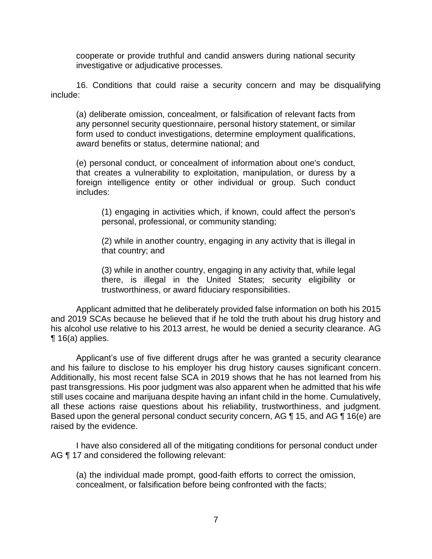cooperate or provide truthful and candid answers during national security investigative or adjudicative processes.

 16. Conditions that could raise a security concern and may be disqualifying include:

(a) deliberate omission, concealment, or falsification of relevant facts from any personnel security questionnaire, personal history statement, or similar form used to conduct investigations, determine employment qualifications, award benefits or status, determine national; and

(e) personal conduct, or concealment of information about one's conduct, that creates a vulnerability to exploitation, manipulation, or duress by a foreign intelligence entity or other individual or group. Such conduct includes:

(1) engaging in activities which, if known, could affect the person's personal, professional, or community standing;

(2) while in another country, engaging in any activity that is illegal in that country; and

(3) while in another country, engaging in any activity that, while legal there, is illegal in the United States; security eligibility or trustworthiness, or award fiduciary responsibilities.

 Applicant admitted that he deliberately provided false information on both his 2015 and 2019 SCAs because he believed that if he told the truth about his drug history and his alcohol use relative to his 2013 arrest, he would be denied a security clearance. AG  $\P$  16(a) applies.

 Applicant's use of five different drugs after he was granted a security clearance and his failure to disclose to his employer his drug history causes significant concern. Additionally, his most recent false SCA in 2019 shows that he has not learned from his past transgressions. His poor judgment was also apparent when he admitted that his wife still uses cocaine and marijuana despite having an infant child in the home. Cumulatively, all these actions raise questions about his reliability, trustworthiness, and judgment. Based upon the general personal conduct security concern, AG ¶ 15, and AG ¶ 16(e) are raised by the evidence.

I have also considered all of the mitigating conditions for personal conduct under AG ¶ 17 and considered the following relevant:

(a) the individual made prompt, good-faith efforts to correct the omission, concealment, or falsification before being confronted with the facts;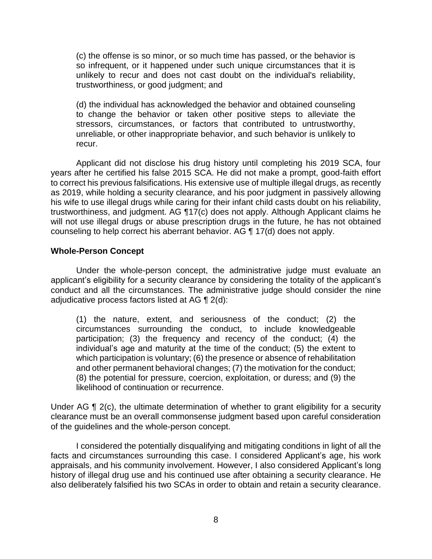(c) the offense is so minor, or so much time has passed, or the behavior is so infrequent, or it happened under such unique circumstances that it is unlikely to recur and does not cast doubt on the individual's reliability, trustworthiness, or good judgment; and

(d) the individual has acknowledged the behavior and obtained counseling to change the behavior or taken other positive steps to alleviate the stressors, circumstances, or factors that contributed to untrustworthy, unreliable, or other inappropriate behavior, and such behavior is unlikely to recur.

 Applicant did not disclose his drug history until completing his 2019 SCA, four years after he certified his false 2015 SCA. He did not make a prompt, good-faith effort to correct his previous falsifications. His extensive use of multiple illegal drugs, as recently as 2019, while holding a security clearance, and his poor judgment in passively allowing trustworthiness, and judgment. AG ¶17(c) does not apply. Although Applicant claims he will not use illegal drugs or abuse prescription drugs in the future, he has not obtained his wife to use illegal drugs while caring for their infant child casts doubt on his reliability, counseling to help correct his aberrant behavior. AG ¶ 17(d) does not apply.

## **Whole-Person Concept**

 Under the whole-person concept, the administrative judge must evaluate an applicant's eligibility for a security clearance by considering the totality of the applicant's conduct and all the circumstances. The administrative judge should consider the nine adjudicative process factors listed at AG ¶ 2(d):

 (1) the nature, extent, and seriousness of the conduct; (2) the circumstances surrounding the conduct, to include knowledgeable participation; (3) the frequency and recency of the conduct; (4) the individual's age and maturity at the time of the conduct; (5) the extent to which participation is voluntary; (6) the presence or absence of rehabilitation and other permanent behavioral changes; (7) the motivation for the conduct; (8) the potential for pressure, coercion, exploitation, or duress; and (9) the likelihood of continuation or recurrence.

Under AG ¶ 2(c), the ultimate determination of whether to grant eligibility for a security clearance must be an overall commonsense judgment based upon careful consideration of the guidelines and the whole-person concept.

 I considered the potentially disqualifying and mitigating conditions in light of all the history of illegal drug use and his continued use after obtaining a security clearance. He also deliberately falsified his two SCAs in order to obtain and retain a security clearance. facts and circumstances surrounding this case. I considered Applicant's age, his work appraisals, and his community involvement. However, I also considered Applicant's long